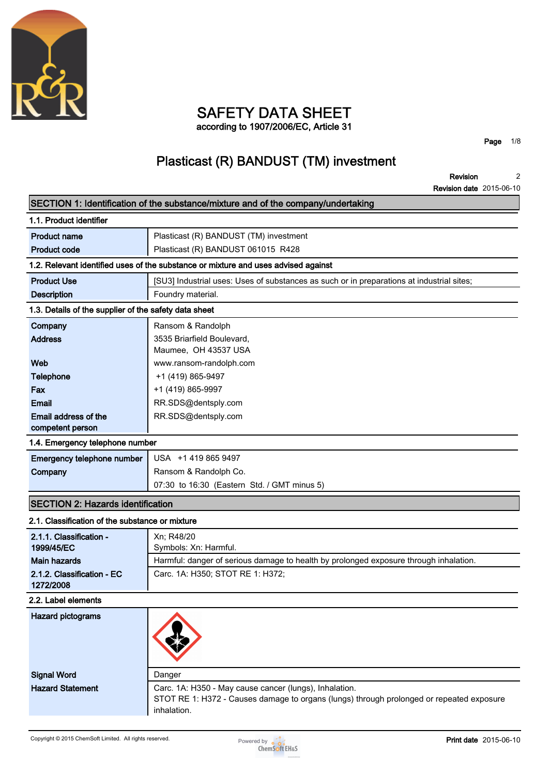

### **SAFETY DATA SHEET according to 1907/2006/EC, Article 31**

**Page 1/8**

# **Plasticast (R) BANDUST (TM) investment**

**Revision Revision date 2015-06-10 2**

|                                                       | SECTION 1: Identification of the substance/mixture and of the company/undertaking                                                                                 |
|-------------------------------------------------------|-------------------------------------------------------------------------------------------------------------------------------------------------------------------|
| 1.1. Product identifier                               |                                                                                                                                                                   |
| <b>Product name</b>                                   | Plasticast (R) BANDUST (TM) investment                                                                                                                            |
| <b>Product code</b>                                   | Plasticast (R) BANDUST 061015 R428                                                                                                                                |
|                                                       | 1.2. Relevant identified uses of the substance or mixture and uses advised against                                                                                |
| <b>Product Use</b>                                    | [SU3] Industrial uses: Uses of substances as such or in preparations at industrial sites;                                                                         |
| <b>Description</b>                                    | Foundry material.                                                                                                                                                 |
| 1.3. Details of the supplier of the safety data sheet |                                                                                                                                                                   |
| Company                                               | Ransom & Randolph                                                                                                                                                 |
| <b>Address</b>                                        | 3535 Briarfield Boulevard,                                                                                                                                        |
|                                                       | Maumee, OH 43537 USA                                                                                                                                              |
| Web                                                   | www.ransom-randolph.com                                                                                                                                           |
| <b>Telephone</b>                                      | +1 (419) 865-9497                                                                                                                                                 |
| Fax<br><b>Email</b>                                   | +1 (419) 865-9997<br>RR.SDS@dentsply.com                                                                                                                          |
| Email address of the                                  | RR.SDS@dentsply.com                                                                                                                                               |
| competent person                                      |                                                                                                                                                                   |
| 1.4. Emergency telephone number                       |                                                                                                                                                                   |
| Emergency telephone number                            | USA +1 419 865 9497                                                                                                                                               |
| Company                                               | Ransom & Randolph Co.                                                                                                                                             |
|                                                       | 07:30 to 16:30 (Eastern Std. / GMT minus 5)                                                                                                                       |
| <b>SECTION 2: Hazards identification</b>              |                                                                                                                                                                   |
| 2.1. Classification of the substance or mixture       |                                                                                                                                                                   |
| 2.1.1. Classification -                               | Xn; R48/20                                                                                                                                                        |
| 1999/45/EC                                            | Symbols: Xn: Harmful.                                                                                                                                             |
| <b>Main hazards</b>                                   | Harmful: danger of serious damage to health by prolonged exposure through inhalation.                                                                             |
| 2.1.2. Classification - EC<br>1272/2008               | Carc. 1A: H350; STOT RE 1: H372;                                                                                                                                  |
| 2.2. Label elements                                   |                                                                                                                                                                   |
| <b>Hazard pictograms</b>                              |                                                                                                                                                                   |
| <b>Signal Word</b>                                    | Danger                                                                                                                                                            |
| <b>Hazard Statement</b>                               | Carc. 1A: H350 - May cause cancer (lungs), Inhalation.<br>STOT RE 1: H372 - Causes damage to organs (lungs) through prolonged or repeated exposure<br>inhalation. |

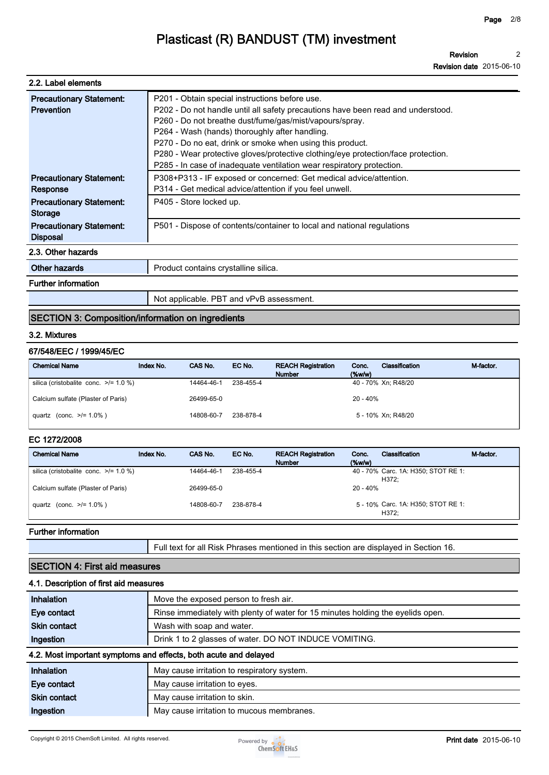**Revision Revision date 2015-06-10 2**

| 2.2. Label elements                                  |                                                                                                                                                                                                                                                                                                                                                                                                                                                                            |
|------------------------------------------------------|----------------------------------------------------------------------------------------------------------------------------------------------------------------------------------------------------------------------------------------------------------------------------------------------------------------------------------------------------------------------------------------------------------------------------------------------------------------------------|
| <b>Precautionary Statement:</b><br><b>Prevention</b> | P201 - Obtain special instructions before use.<br>P202 - Do not handle until all safety precautions have been read and understood.<br>P260 - Do not breathe dust/fume/gas/mist/vapours/spray.<br>P264 - Wash (hands) thoroughly after handling.<br>P270 - Do no eat, drink or smoke when using this product.<br>P280 - Wear protective gloves/protective clothing/eye protection/face protection.<br>P285 - In case of inadequate ventilation wear respiratory protection. |
| <b>Precautionary Statement:</b><br>Response          | P308+P313 - IF exposed or concerned: Get medical advice/attention.<br>P314 - Get medical advice/attention if you feel unwell.                                                                                                                                                                                                                                                                                                                                              |
| <b>Precautionary Statement:</b><br>Storage           | P405 - Store locked up.                                                                                                                                                                                                                                                                                                                                                                                                                                                    |
| <b>Precautionary Statement:</b><br><b>Disposal</b>   | P501 - Dispose of contents/container to local and national regulations                                                                                                                                                                                                                                                                                                                                                                                                     |
| 2.3. Other hazards                                   |                                                                                                                                                                                                                                                                                                                                                                                                                                                                            |
| Other hazards                                        | Product contains crystalline silica.                                                                                                                                                                                                                                                                                                                                                                                                                                       |
| <b>Further information</b>                           |                                                                                                                                                                                                                                                                                                                                                                                                                                                                            |
|                                                      | Not applicable. PBT and vPvB assessment.                                                                                                                                                                                                                                                                                                                                                                                                                                   |

### **SECTION 3: Composition/information on ingredients**

#### **3.2. Mixtures**

### **67/548/EEC / 1999/45/EC**

| <b>Chemical Name</b>                       | Index No. | CAS No.    | EC No.    | <b>REACH Registration</b><br><b>Number</b> | Conc.<br>$(\%w/w)$ | Classification      | M-factor. |
|--------------------------------------------|-----------|------------|-----------|--------------------------------------------|--------------------|---------------------|-----------|
| silica (cristobalite conc. $\ge$ /= 1.0 %) |           | 14464-46-1 | 238-455-4 |                                            |                    | 40 - 70% Xn; R48/20 |           |
| Calcium sulfate (Plaster of Paris)         |           | 26499-65-0 |           |                                            | $20 - 40%$         |                     |           |
| quartz (conc. $>1 = 1.0\%$ )               |           | 14808-60-7 | 238-878-4 |                                            |                    | 5 - 10% Xn; R48/20  |           |

#### **EC 1272/2008**

| <b>Chemical Name</b>                       | Index No. | CAS No.    | EC No.    | <b>REACH Registration</b><br><b>Number</b> | Conc.<br>$(\%w/w)$ | Classification                               | M-factor. |
|--------------------------------------------|-----------|------------|-----------|--------------------------------------------|--------------------|----------------------------------------------|-----------|
| silica (cristobalite conc. $\ge$ /= 1.0 %) |           | 14464-46-1 | 238-455-4 |                                            |                    | 40 - 70% Carc. 1A: H350; STOT RE 1:<br>H372: |           |
| Calcium sulfate (Plaster of Paris)         |           | 26499-65-0 |           |                                            | $20 - 40%$         |                                              |           |
| quartz (conc. $>1.0\%$ )                   |           | 14808-60-7 | 238-878-4 |                                            |                    | 5 - 10% Carc. 1A: H350; STOT RE 1:<br>H372:  |           |

#### **Further information**

**Full text for all Risk Phrases mentioned in this section are displayed in Section 16.**

### **SECTION 4: First aid measures**

### **4.1. Description of first aid measures**

| Inhalation                                                                                                                                                                                                                     | Move the exposed person to fresh air.                                           |
|--------------------------------------------------------------------------------------------------------------------------------------------------------------------------------------------------------------------------------|---------------------------------------------------------------------------------|
| Eye contact                                                                                                                                                                                                                    | Rinse immediately with plenty of water for 15 minutes holding the eyelids open. |
| <b>Skin contact</b>                                                                                                                                                                                                            | Wash with soap and water.                                                       |
| Ingestion                                                                                                                                                                                                                      | Drink 1 to 2 glasses of water. DO NOT INDUCE VOMITING.                          |
|                                                                                                                                                                                                                                | 4.2. Most important symptoms and effects, both acute and delayed                |
| Inhalation                                                                                                                                                                                                                     | May cause irritation to respiratory system.                                     |
| the contract of the contract of the contract of the contract of the contract of the contract of the contract of the contract of the contract of the contract of the contract of the contract of the contract of the contract o | March 2019 - Contractor Andrew Corporation                                      |

| Eye contact         | May cause irritation to eyes.             |
|---------------------|-------------------------------------------|
| <b>Skin contact</b> | May cause irritation to skin.             |
| Ingestion           | May cause irritation to mucous membranes. |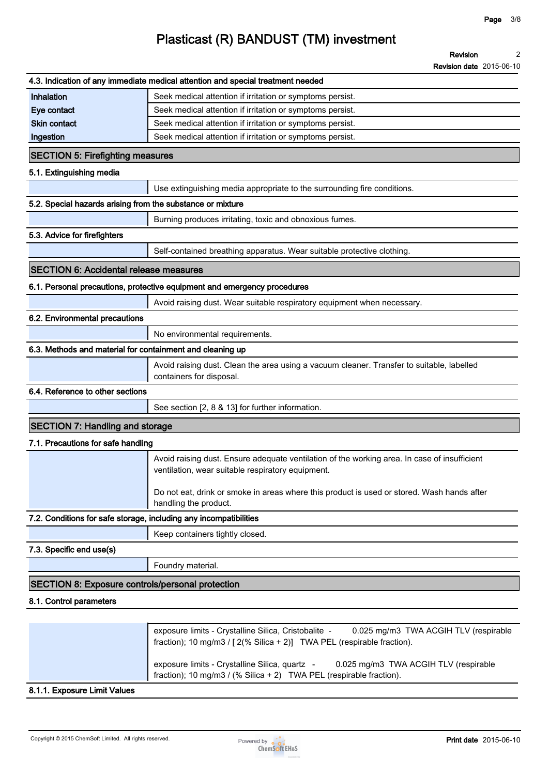|                                                            | <b>Revision date</b> 2015-06-10                                                                                                                   |
|------------------------------------------------------------|---------------------------------------------------------------------------------------------------------------------------------------------------|
|                                                            | 4.3. Indication of any immediate medical attention and special treatment needed                                                                   |
| Inhalation                                                 | Seek medical attention if irritation or symptoms persist.                                                                                         |
| Eye contact                                                | Seek medical attention if irritation or symptoms persist.                                                                                         |
| <b>Skin contact</b>                                        | Seek medical attention if irritation or symptoms persist.                                                                                         |
| Ingestion                                                  | Seek medical attention if irritation or symptoms persist.                                                                                         |
| <b>SECTION 5: Firefighting measures</b>                    |                                                                                                                                                   |
| 5.1. Extinguishing media                                   |                                                                                                                                                   |
|                                                            | Use extinguishing media appropriate to the surrounding fire conditions.                                                                           |
| 5.2. Special hazards arising from the substance or mixture |                                                                                                                                                   |
|                                                            | Burning produces irritating, toxic and obnoxious fumes.                                                                                           |
| 5.3. Advice for firefighters                               |                                                                                                                                                   |
|                                                            | Self-contained breathing apparatus. Wear suitable protective clothing.                                                                            |
| <b>SECTION 6: Accidental release measures</b>              |                                                                                                                                                   |
|                                                            | 6.1. Personal precautions, protective equipment and emergency procedures                                                                          |
|                                                            | Avoid raising dust. Wear suitable respiratory equipment when necessary.                                                                           |
| 6.2. Environmental precautions                             |                                                                                                                                                   |
|                                                            | No environmental requirements.                                                                                                                    |
| 6.3. Methods and material for containment and cleaning up  |                                                                                                                                                   |
|                                                            | Avoid raising dust. Clean the area using a vacuum cleaner. Transfer to suitable, labelled<br>containers for disposal.                             |
| 6.4. Reference to other sections                           |                                                                                                                                                   |
|                                                            | See section [2, 8 & 13] for further information.                                                                                                  |
| <b>SECTION 7: Handling and storage</b>                     |                                                                                                                                                   |
| 7.1. Precautions for safe handling                         |                                                                                                                                                   |
|                                                            | Avoid raising dust. Ensure adequate ventilation of the working area. In case of insufficient<br>ventilation, wear suitable respiratory equipment. |
|                                                            | Do not eat, drink or smoke in areas where this product is used or stored. Wash hands after<br>handling the product.                               |
|                                                            | 7.2. Conditions for safe storage, including any incompatibilities                                                                                 |
|                                                            | Keep containers tightly closed.                                                                                                                   |
| 7.3. Specific end use(s)                                   |                                                                                                                                                   |
|                                                            | Foundry material.                                                                                                                                 |
| <b>SECTION 8: Exposure controls/personal protection</b>    |                                                                                                                                                   |
| 8.1. Control parameters                                    |                                                                                                                                                   |
|                                                            |                                                                                                                                                   |
|                                                            | exposure limits - Crystalline Silica, Cristobalite -<br>0.025 mg/m3 TWA ACGIH TLV (respirable                                                     |

| exposure limits - Crystalline Silica, Cristobalite -<br>0.025 mg/m3 TWA ACGIH TLV (respirable<br>fraction); 10 mg/m3 / $[2(\% Silica + 2)]$ TWA PEL (respirable fraction). |
|----------------------------------------------------------------------------------------------------------------------------------------------------------------------------|
| exposure limits - Crystalline Silica, quartz -<br>0.025 mg/m3 TWA ACGIH TLV (respirable<br>fraction); 10 mg/m3 / (% Silica + 2) TWA PEL (respirable fraction).             |

**8.1.1. Exposure Limit Values**

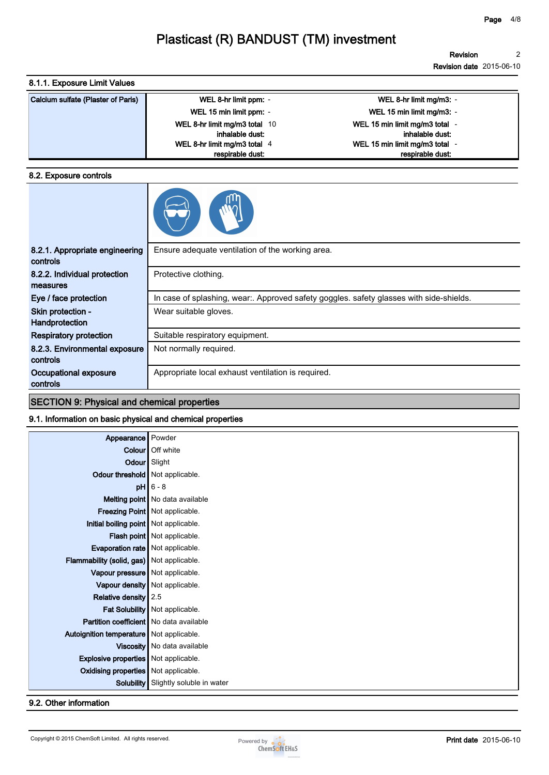### **8.1.1. Exposure Limit Values**

| Calcium sulfate (Plaster of Paris) | WEL 8-hr limit ppm: -         | WEL 8-hr limit mg/m3: -        |
|------------------------------------|-------------------------------|--------------------------------|
|                                    | WEL 15 min limit ppm: -       | WEL 15 min limit mg/m3: -      |
|                                    | WEL 8-hr limit mg/m3 total 10 | WEL 15 min limit mg/m3 total - |
|                                    | inhalable dust:               | inhalable dust:                |
|                                    | WEL 8-hr limit mg/m3 total 4  | WEL 15 min limit mg/m3 total - |
|                                    | respirable dust:              | respirable dust:               |

### **8.2. Exposure controls**

| 8.2.1. Appropriate engineering<br>controls | Ensure adequate ventilation of the working area.                                      |
|--------------------------------------------|---------------------------------------------------------------------------------------|
| 8.2.2. Individual protection<br>measures   | Protective clothing.                                                                  |
| Eye / face protection                      | In case of splashing, wear Approved safety goggles. safety glasses with side-shields. |
| Skin protection -<br>Handprotection        | Wear suitable gloves.                                                                 |
| <b>Respiratory protection</b>              | Suitable respiratory equipment.                                                       |
| 8.2.3. Environmental exposure<br>controls  | Not normally required.                                                                |
| Occupational exposure<br>controls          | Appropriate local exhaust ventilation is required.                                    |
|                                            |                                                                                       |

**SECTION 9: Physical and chemical properties**

### **9.1. Information on basic physical and chemical properties**

| Appearance                                     | Powder                            |
|------------------------------------------------|-----------------------------------|
| Colour                                         | Off white                         |
|                                                | Odour Slight                      |
| Odour threshold   Not applicable.              |                                   |
|                                                | $pH$ 6 - 8                        |
|                                                | Melting point   No data available |
|                                                | Freezing Point   Not applicable.  |
| Initial boiling point   Not applicable.        |                                   |
|                                                | Flash point   Not applicable.     |
| <b>Evaporation rate</b> Not applicable.        |                                   |
| Flammability (solid, gas) Not applicable.      |                                   |
| Vapour pressure   Not applicable.              |                                   |
|                                                | Vapour density   Not applicable.  |
| Relative density 2.5                           |                                   |
|                                                | Fat Solubility   Not applicable.  |
| <b>Partition coefficient</b> No data available |                                   |
| Autoignition temperature   Not applicable.     |                                   |
|                                                | Viscosity   No data available     |
| <b>Explosive properties</b> Not applicable.    |                                   |
| <b>Oxidising properties</b> Not applicable.    |                                   |
| Solubility                                     | Slightly soluble in water         |

**9.2. Other information**

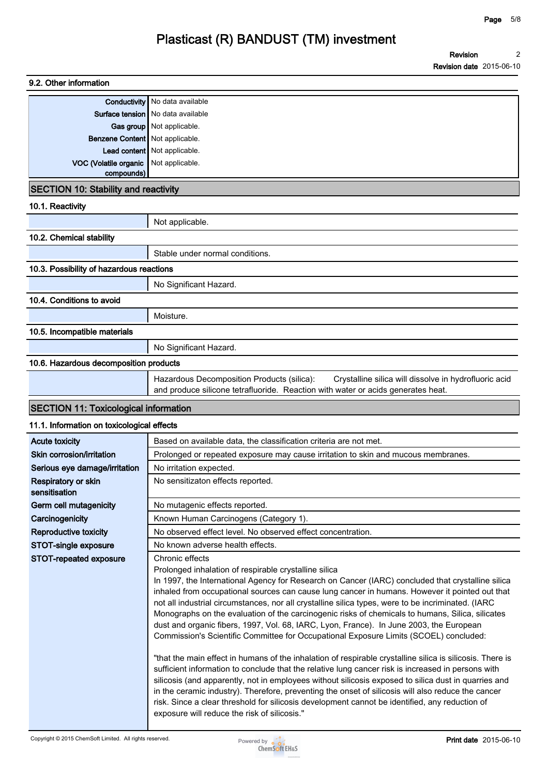| 9.2. Other information                       |                                                                                                                                                                                                                                                                                                                                                                                                                                                                                                                                                                                                                                                            |
|----------------------------------------------|------------------------------------------------------------------------------------------------------------------------------------------------------------------------------------------------------------------------------------------------------------------------------------------------------------------------------------------------------------------------------------------------------------------------------------------------------------------------------------------------------------------------------------------------------------------------------------------------------------------------------------------------------------|
|                                              | <b>Conductivity</b> No data available                                                                                                                                                                                                                                                                                                                                                                                                                                                                                                                                                                                                                      |
|                                              | Surface tension   No data available                                                                                                                                                                                                                                                                                                                                                                                                                                                                                                                                                                                                                        |
|                                              | Gas group   Not applicable.                                                                                                                                                                                                                                                                                                                                                                                                                                                                                                                                                                                                                                |
| Benzene Content   Not applicable.            |                                                                                                                                                                                                                                                                                                                                                                                                                                                                                                                                                                                                                                                            |
|                                              | Lead content   Not applicable.                                                                                                                                                                                                                                                                                                                                                                                                                                                                                                                                                                                                                             |
| VOC (Volatile organic                        | Not applicable.                                                                                                                                                                                                                                                                                                                                                                                                                                                                                                                                                                                                                                            |
| compounds)                                   |                                                                                                                                                                                                                                                                                                                                                                                                                                                                                                                                                                                                                                                            |
| <b>SECTION 10: Stability and reactivity</b>  |                                                                                                                                                                                                                                                                                                                                                                                                                                                                                                                                                                                                                                                            |
| 10.1. Reactivity                             |                                                                                                                                                                                                                                                                                                                                                                                                                                                                                                                                                                                                                                                            |
|                                              | Not applicable.                                                                                                                                                                                                                                                                                                                                                                                                                                                                                                                                                                                                                                            |
| 10.2. Chemical stability                     |                                                                                                                                                                                                                                                                                                                                                                                                                                                                                                                                                                                                                                                            |
|                                              | Stable under normal conditions.                                                                                                                                                                                                                                                                                                                                                                                                                                                                                                                                                                                                                            |
| 10.3. Possibility of hazardous reactions     |                                                                                                                                                                                                                                                                                                                                                                                                                                                                                                                                                                                                                                                            |
|                                              | No Significant Hazard.                                                                                                                                                                                                                                                                                                                                                                                                                                                                                                                                                                                                                                     |
| 10.4. Conditions to avoid                    |                                                                                                                                                                                                                                                                                                                                                                                                                                                                                                                                                                                                                                                            |
|                                              | Moisture.                                                                                                                                                                                                                                                                                                                                                                                                                                                                                                                                                                                                                                                  |
| 10.5. Incompatible materials                 |                                                                                                                                                                                                                                                                                                                                                                                                                                                                                                                                                                                                                                                            |
|                                              | No Significant Hazard.                                                                                                                                                                                                                                                                                                                                                                                                                                                                                                                                                                                                                                     |
| 10.6. Hazardous decomposition products       |                                                                                                                                                                                                                                                                                                                                                                                                                                                                                                                                                                                                                                                            |
|                                              | Hazardous Decomposition Products (silica):<br>Crystalline silica will dissolve in hydrofluoric acid<br>and produce silicone tetrafluoride. Reaction with water or acids generates heat.                                                                                                                                                                                                                                                                                                                                                                                                                                                                    |
| <b>SECTION 11: Toxicological information</b> |                                                                                                                                                                                                                                                                                                                                                                                                                                                                                                                                                                                                                                                            |
| 11.1. Information on toxicological effects   |                                                                                                                                                                                                                                                                                                                                                                                                                                                                                                                                                                                                                                                            |
| <b>Acute toxicity</b>                        | Based on available data, the classification criteria are not met.                                                                                                                                                                                                                                                                                                                                                                                                                                                                                                                                                                                          |
| Skin corrosion/irritation                    | Prolonged or repeated exposure may cause irritation to skin and mucous membranes.                                                                                                                                                                                                                                                                                                                                                                                                                                                                                                                                                                          |
| Serious eye damage/irritation                | No irritation expected.                                                                                                                                                                                                                                                                                                                                                                                                                                                                                                                                                                                                                                    |
| Respiratory or skin<br>sensitisation         | No sensitizaton effects reported.                                                                                                                                                                                                                                                                                                                                                                                                                                                                                                                                                                                                                          |
| Germ cell mutagenicity                       | No mutagenic effects reported.                                                                                                                                                                                                                                                                                                                                                                                                                                                                                                                                                                                                                             |
| Carcinogenicity                              | Known Human Carcinogens (Category 1).                                                                                                                                                                                                                                                                                                                                                                                                                                                                                                                                                                                                                      |
| Reproductive toxicity                        | No observed effect level. No observed effect concentration.                                                                                                                                                                                                                                                                                                                                                                                                                                                                                                                                                                                                |
| STOT-single exposure                         | No known adverse health effects.                                                                                                                                                                                                                                                                                                                                                                                                                                                                                                                                                                                                                           |
| STOT-repeated exposure                       | Chronic effects                                                                                                                                                                                                                                                                                                                                                                                                                                                                                                                                                                                                                                            |
|                                              | Prolonged inhalation of respirable crystalline silica<br>In 1997, the International Agency for Research on Cancer (IARC) concluded that crystalline silica<br>inhaled from occupational sources can cause lung cancer in humans. However it pointed out that<br>not all industrial circumstances, nor all crystalline silica types, were to be incriminated. (IARC<br>Monographs on the evaluation of the carcinogenic risks of chemicals to humans, Silica, silicates<br>dust and organic fibers, 1997, Vol. 68, IARC, Lyon, France). In June 2003, the European<br>Commission's Scientific Committee for Occupational Exposure Limits (SCOEL) concluded: |
|                                              | "that the main effect in humans of the inhalation of respirable crystalline silica is silicosis. There is<br>sufficient information to conclude that the relative lung cancer risk is increased in persons with<br>silicosis (and apparently, not in employees without silicosis exposed to silica dust in quarries and<br>in the ceramic industry). Therefore, preventing the onset of silicosis will also reduce the cancer<br>risk. Since a clear threshold for silicosis development cannot be identified, any reduction of                                                                                                                            |

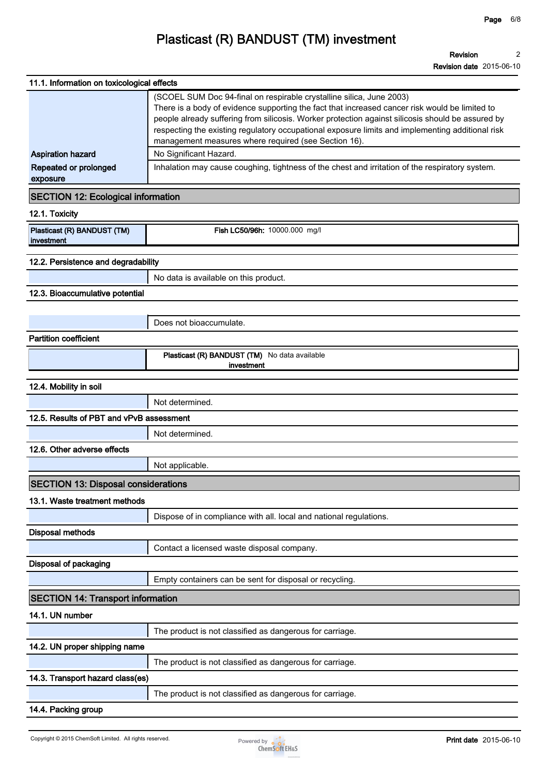| 11.1. Information on toxicological effects |                                                                                                                                                                                                                                                                                                                                                                                                                                         |  |  |  |
|--------------------------------------------|-----------------------------------------------------------------------------------------------------------------------------------------------------------------------------------------------------------------------------------------------------------------------------------------------------------------------------------------------------------------------------------------------------------------------------------------|--|--|--|
|                                            | (SCOEL SUM Doc 94-final on respirable crystalline silica, June 2003)<br>There is a body of evidence supporting the fact that increased cancer risk would be limited to<br>people already suffering from silicosis. Worker protection against silicosis should be assured by<br>respecting the existing regulatory occupational exposure limits and implementing additional risk<br>management measures where required (see Section 16). |  |  |  |
| <b>Aspiration hazard</b>                   | No Significant Hazard.                                                                                                                                                                                                                                                                                                                                                                                                                  |  |  |  |
| Repeated or prolonged<br>exposure          | Inhalation may cause coughing, tightness of the chest and irritation of the respiratory system.                                                                                                                                                                                                                                                                                                                                         |  |  |  |
| <b>SECTION 12: Ecological information</b>  |                                                                                                                                                                                                                                                                                                                                                                                                                                         |  |  |  |
| 12.1. Toxicity                             |                                                                                                                                                                                                                                                                                                                                                                                                                                         |  |  |  |
| Plasticast (R) BANDUST (TM)<br>investment  | Fish LC50/96h: 10000.000 mg/l                                                                                                                                                                                                                                                                                                                                                                                                           |  |  |  |
| 12.2. Persistence and degradability        |                                                                                                                                                                                                                                                                                                                                                                                                                                         |  |  |  |
|                                            | No data is available on this product.                                                                                                                                                                                                                                                                                                                                                                                                   |  |  |  |
| 12.3. Bioaccumulative potential            |                                                                                                                                                                                                                                                                                                                                                                                                                                         |  |  |  |
|                                            |                                                                                                                                                                                                                                                                                                                                                                                                                                         |  |  |  |
|                                            | Does not bioaccumulate.                                                                                                                                                                                                                                                                                                                                                                                                                 |  |  |  |
| <b>Partition coefficient</b>               |                                                                                                                                                                                                                                                                                                                                                                                                                                         |  |  |  |
|                                            | Plasticast (R) BANDUST (TM) No data available<br>investment                                                                                                                                                                                                                                                                                                                                                                             |  |  |  |
| 12.4. Mobility in soil                     |                                                                                                                                                                                                                                                                                                                                                                                                                                         |  |  |  |
|                                            | Not determined.                                                                                                                                                                                                                                                                                                                                                                                                                         |  |  |  |
| 12.5. Results of PBT and vPvB assessment   |                                                                                                                                                                                                                                                                                                                                                                                                                                         |  |  |  |
|                                            | Not determined.                                                                                                                                                                                                                                                                                                                                                                                                                         |  |  |  |
| 12.6. Other adverse effects                |                                                                                                                                                                                                                                                                                                                                                                                                                                         |  |  |  |
|                                            | Not applicable.                                                                                                                                                                                                                                                                                                                                                                                                                         |  |  |  |
| <b>SECTION 13: Disposal considerations</b> |                                                                                                                                                                                                                                                                                                                                                                                                                                         |  |  |  |
| 13.1. Waste treatment methods              |                                                                                                                                                                                                                                                                                                                                                                                                                                         |  |  |  |
|                                            | Dispose of in compliance with all. local and national regulations.                                                                                                                                                                                                                                                                                                                                                                      |  |  |  |
| <b>Disposal methods</b>                    |                                                                                                                                                                                                                                                                                                                                                                                                                                         |  |  |  |
|                                            | Contact a licensed waste disposal company.                                                                                                                                                                                                                                                                                                                                                                                              |  |  |  |
| Disposal of packaging                      |                                                                                                                                                                                                                                                                                                                                                                                                                                         |  |  |  |
|                                            | Empty containers can be sent for disposal or recycling.                                                                                                                                                                                                                                                                                                                                                                                 |  |  |  |
| <b>SECTION 14: Transport information</b>   |                                                                                                                                                                                                                                                                                                                                                                                                                                         |  |  |  |
| 14.1. UN number                            |                                                                                                                                                                                                                                                                                                                                                                                                                                         |  |  |  |
|                                            | The product is not classified as dangerous for carriage.                                                                                                                                                                                                                                                                                                                                                                                |  |  |  |
| 14.2. UN proper shipping name              |                                                                                                                                                                                                                                                                                                                                                                                                                                         |  |  |  |
|                                            | The product is not classified as dangerous for carriage.                                                                                                                                                                                                                                                                                                                                                                                |  |  |  |
| 14.3. Transport hazard class(es)           |                                                                                                                                                                                                                                                                                                                                                                                                                                         |  |  |  |
|                                            | The product is not classified as dangerous for carriage.                                                                                                                                                                                                                                                                                                                                                                                |  |  |  |
| 14.4. Packing group                        |                                                                                                                                                                                                                                                                                                                                                                                                                                         |  |  |  |

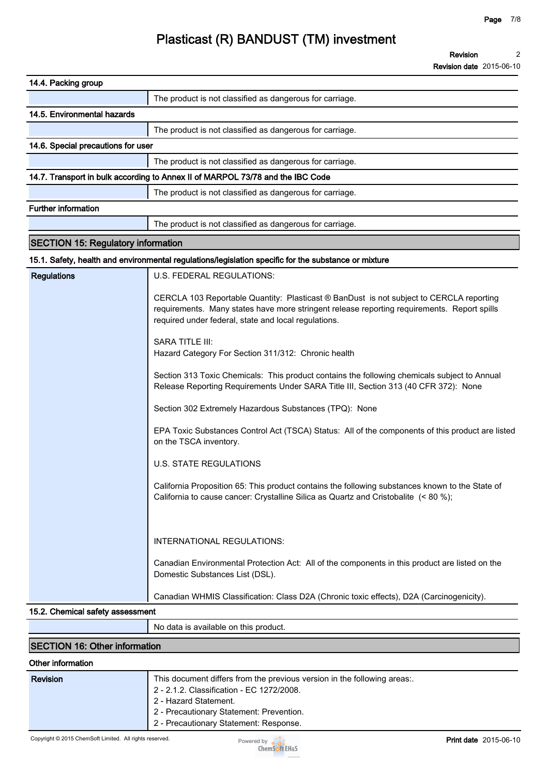| 14.4. Packing group                                                                                  |                                                                                                                                                                                                                                                                                                                                                                                                                                                                                                                                                                                                                                                                                                                                                                                                                                                                                                                                           |  |  |  |
|------------------------------------------------------------------------------------------------------|-------------------------------------------------------------------------------------------------------------------------------------------------------------------------------------------------------------------------------------------------------------------------------------------------------------------------------------------------------------------------------------------------------------------------------------------------------------------------------------------------------------------------------------------------------------------------------------------------------------------------------------------------------------------------------------------------------------------------------------------------------------------------------------------------------------------------------------------------------------------------------------------------------------------------------------------|--|--|--|
|                                                                                                      | The product is not classified as dangerous for carriage.                                                                                                                                                                                                                                                                                                                                                                                                                                                                                                                                                                                                                                                                                                                                                                                                                                                                                  |  |  |  |
| 14.5. Environmental hazards                                                                          |                                                                                                                                                                                                                                                                                                                                                                                                                                                                                                                                                                                                                                                                                                                                                                                                                                                                                                                                           |  |  |  |
|                                                                                                      | The product is not classified as dangerous for carriage.                                                                                                                                                                                                                                                                                                                                                                                                                                                                                                                                                                                                                                                                                                                                                                                                                                                                                  |  |  |  |
| 14.6. Special precautions for user                                                                   |                                                                                                                                                                                                                                                                                                                                                                                                                                                                                                                                                                                                                                                                                                                                                                                                                                                                                                                                           |  |  |  |
|                                                                                                      | The product is not classified as dangerous for carriage.                                                                                                                                                                                                                                                                                                                                                                                                                                                                                                                                                                                                                                                                                                                                                                                                                                                                                  |  |  |  |
|                                                                                                      | 14.7. Transport in bulk according to Annex II of MARPOL 73/78 and the IBC Code                                                                                                                                                                                                                                                                                                                                                                                                                                                                                                                                                                                                                                                                                                                                                                                                                                                            |  |  |  |
|                                                                                                      | The product is not classified as dangerous for carriage.                                                                                                                                                                                                                                                                                                                                                                                                                                                                                                                                                                                                                                                                                                                                                                                                                                                                                  |  |  |  |
| <b>Further information</b>                                                                           |                                                                                                                                                                                                                                                                                                                                                                                                                                                                                                                                                                                                                                                                                                                                                                                                                                                                                                                                           |  |  |  |
|                                                                                                      | The product is not classified as dangerous for carriage.                                                                                                                                                                                                                                                                                                                                                                                                                                                                                                                                                                                                                                                                                                                                                                                                                                                                                  |  |  |  |
| <b>SECTION 15: Regulatory information</b>                                                            |                                                                                                                                                                                                                                                                                                                                                                                                                                                                                                                                                                                                                                                                                                                                                                                                                                                                                                                                           |  |  |  |
| 15.1. Safety, health and environmental regulations/legislation specific for the substance or mixture |                                                                                                                                                                                                                                                                                                                                                                                                                                                                                                                                                                                                                                                                                                                                                                                                                                                                                                                                           |  |  |  |
| <b>Regulations</b>                                                                                   | U.S. FEDERAL REGULATIONS:                                                                                                                                                                                                                                                                                                                                                                                                                                                                                                                                                                                                                                                                                                                                                                                                                                                                                                                 |  |  |  |
|                                                                                                      | CERCLA 103 Reportable Quantity: Plasticast ® BanDust is not subject to CERCLA reporting<br>requirements. Many states have more stringent release reporting requirements. Report spills<br>required under federal, state and local regulations.<br><b>SARA TITLE III:</b><br>Hazard Category For Section 311/312: Chronic health<br>Section 313 Toxic Chemicals: This product contains the following chemicals subject to Annual<br>Release Reporting Requirements Under SARA Title III, Section 313 (40 CFR 372): None<br>Section 302 Extremely Hazardous Substances (TPQ): None<br>EPA Toxic Substances Control Act (TSCA) Status: All of the components of this product are listed<br>on the TSCA inventory.<br><b>U.S. STATE REGULATIONS</b><br>California Proposition 65: This product contains the following substances known to the State of<br>California to cause cancer: Crystalline Silica as Quartz and Cristobalite (< 80 %); |  |  |  |
|                                                                                                      | INTERNATIONAL REGULATIONS:<br>Canadian Environmental Protection Act: All of the components in this product are listed on the<br>Domestic Substances List (DSL).<br>Canadian WHMIS Classification: Class D2A (Chronic toxic effects), D2A (Carcinogenicity).                                                                                                                                                                                                                                                                                                                                                                                                                                                                                                                                                                                                                                                                               |  |  |  |
| 15.2. Chemical safety assessment                                                                     |                                                                                                                                                                                                                                                                                                                                                                                                                                                                                                                                                                                                                                                                                                                                                                                                                                                                                                                                           |  |  |  |

**No data is available on this product.**

### **SECTION 16: Other information**

### **Other information**

| This document differs from the previous version in the following areas:.<br>2 - 2.1.2. Classification - EC 1272/2008.<br>2 - Hazard Statement.<br>2 - Precautionary Statement: Prevention.<br>2 - Precautionary Statement: Response. | <b>Revision</b> |
|--------------------------------------------------------------------------------------------------------------------------------------------------------------------------------------------------------------------------------------|-----------------|
|--------------------------------------------------------------------------------------------------------------------------------------------------------------------------------------------------------------------------------------|-----------------|